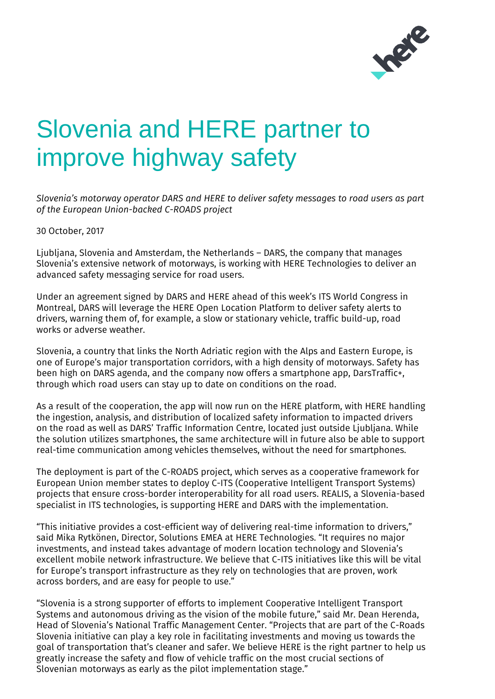

## Slovenia and HERE partner to improve highway safety

*Slovenia's motorway operator DARS and HERE to deliver safety messages to road users as part of the European Union-backed C-ROADS project*

30 October, 2017

Ljubljana, Slovenia and Amsterdam, the Netherlands – DARS, the company that manages Slovenia's extensive network of motorways, is working with HERE Technologies to deliver an advanced safety messaging service for road users.

Under an agreement signed by DARS and HERE ahead of this week's ITS World Congress in Montreal, DARS will leverage the HERE Open Location Platform to deliver safety alerts to drivers, warning them of, for example, a slow or stationary vehicle, traffic build-up, road works or adverse weather.

Slovenia, a country that links the North Adriatic region with the Alps and Eastern Europe, is one of Europe's major transportation corridors, with a high density of motorways. Safety has been high on DARS agenda, and the company now offers a smartphone app, DarsTraffic+, through which road users can stay up to date on conditions on the road.

As a result of the cooperation, the app will now run on the HERE platform, with HERE handling the ingestion, analysis, and distribution of localized safety information to impacted drivers on the road as well as DARS' Traffic Information Centre, located just outside Ljubljana. While the solution utilizes smartphones, the same architecture will in future also be able to support real-time communication among vehicles themselves, without the need for smartphones.

The deployment is part of the C-ROADS project, which serves as a cooperative framework for European Union member states to deploy C-ITS (Cooperative Intelligent Transport Systems) projects that ensure cross-border interoperability for all road users. REALIS, a Slovenia-based specialist in ITS technologies, is supporting HERE and DARS with the implementation.

"This initiative provides a cost-efficient way of delivering real-time information to drivers," said Mika Rytkönen, Director, Solutions EMEA at HERE Technologies. "It requires no major investments, and instead takes advantage of modern location technology and Slovenia's excellent mobile network infrastructure. We believe that C-ITS initiatives like this will be vital for Europe's transport infrastructure as they rely on technologies that are proven, work across borders, and are easy for people to use."

"Slovenia is a strong supporter of efforts to implement Cooperative Intelligent Transport Systems and autonomous driving as the vision of the mobile future," said Mr. Dean Herenda, Head of Slovenia's National Traffic Management Center. "Projects that are part of the C-Roads Slovenia initiative can play a key role in facilitating investments and moving us towards the goal of transportation that's cleaner and safer. We believe HERE is the right partner to help us greatly increase the safety and flow of vehicle traffic on the most crucial sections of Slovenian motorways as early as the pilot implementation stage."